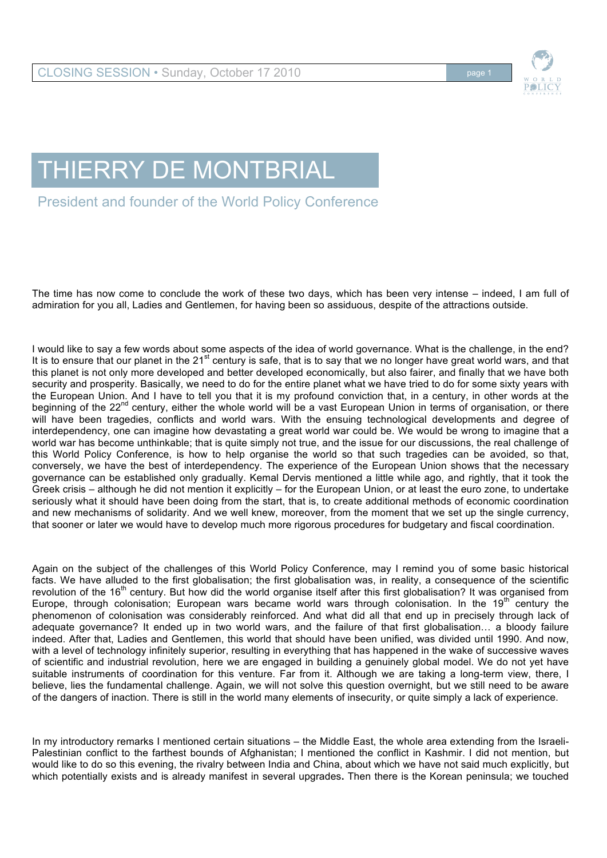

## THIERRY DE MONTBRIAL

President and founder of the World Policy Conference

The time has now come to conclude the work of these two days, which has been very intense – indeed, I am full of admiration for you all, Ladies and Gentlemen, for having been so assiduous, despite of the attractions outside.

I would like to say a few words about some aspects of the idea of world governance. What is the challenge, in the end? It is to ensure that our planet in the 21<sup>st</sup> century is safe, that is to say that we no longer have great world wars, and that this planet is not only more developed and better developed economically, but also fairer, and finally that we have both security and prosperity. Basically, we need to do for the entire planet what we have tried to do for some sixty years with the European Union. And I have to tell you that it is my profound conviction that, in a century, in other words at the beginning of the 22<sup>nd</sup> century, either the whole world will be a vast European Union in terms of organisation, or there will have been tragedies, conflicts and world wars. With the ensuing technological developments and degree of interdependency, one can imagine how devastating a great world war could be. We would be wrong to imagine that a world war has become unthinkable; that is quite simply not true, and the issue for our discussions, the real challenge of this World Policy Conference, is how to help organise the world so that such tragedies can be avoided, so that, conversely, we have the best of interdependency. The experience of the European Union shows that the necessary governance can be established only gradually. Kemal Dervis mentioned a little while ago, and rightly, that it took the Greek crisis – although he did not mention it explicitly – for the European Union, or at least the euro zone, to undertake seriously what it should have been doing from the start, that is, to create additional methods of economic coordination and new mechanisms of solidarity. And we well knew, moreover, from the moment that we set up the single currency, that sooner or later we would have to develop much more rigorous procedures for budgetary and fiscal coordination.

Again on the subject of the challenges of this World Policy Conference, may I remind you of some basic historical facts. We have alluded to the first globalisation; the first globalisation was, in reality, a consequence of the scientific revolution of the 16<sup>th</sup> century. But how did the world organise itself after this first globalisation? It was organised from Europe, through colonisation; European wars became world wars through colonisation. In the 19<sup>th</sup> century the phenomenon of colonisation was considerably reinforced. And what did all that end up in precisely through lack of adequate governance? It ended up in two world wars, and the failure of that first globalisation… a bloody failure indeed. After that, Ladies and Gentlemen, this world that should have been unified, was divided until 1990. And now, with a level of technology infinitely superior, resulting in everything that has happened in the wake of successive waves of scientific and industrial revolution, here we are engaged in building a genuinely global model. We do not yet have suitable instruments of coordination for this venture. Far from it. Although we are taking a long-term view, there, I believe, lies the fundamental challenge. Again, we will not solve this question overnight, but we still need to be aware of the dangers of inaction. There is still in the world many elements of insecurity, or quite simply a lack of experience.

In my introductory remarks I mentioned certain situations – the Middle East, the whole area extending from the Israeli-Palestinian conflict to the farthest bounds of Afghanistan; I mentioned the conflict in Kashmir. I did not mention, but would like to do so this evening, the rivalry between India and China, about which we have not said much explicitly, but which potentially exists and is already manifest in several upgrades**.** Then there is the Korean peninsula; we touched